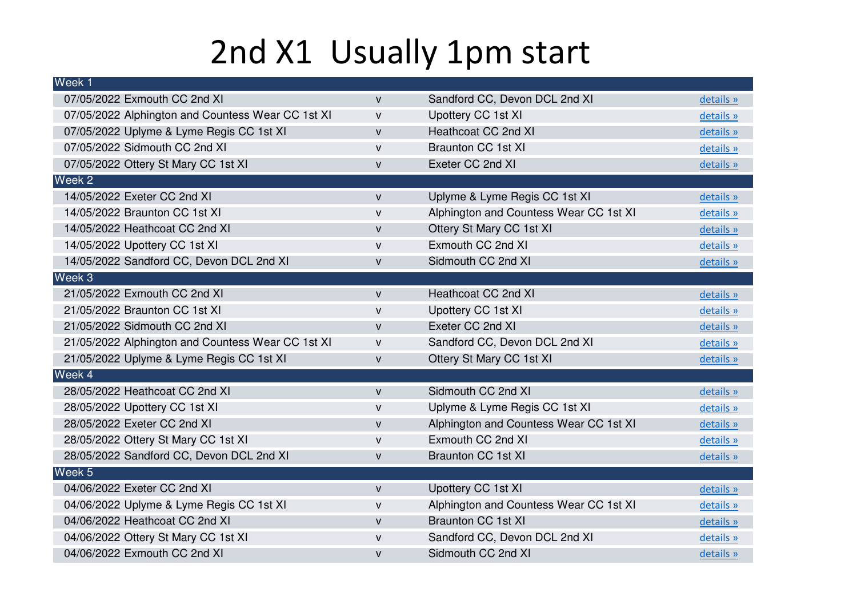## 2nd X1 Usually 1pm start

| Week <sub>1</sub>                                 |              |                                        |           |
|---------------------------------------------------|--------------|----------------------------------------|-----------|
| 07/05/2022 Exmouth CC 2nd XI                      | $\mathsf{V}$ | Sandford CC, Devon DCL 2nd XI          | details » |
| 07/05/2022 Alphington and Countess Wear CC 1st XI | $\mathsf{V}$ | Upottery CC 1st XI                     | details » |
| 07/05/2022 Uplyme & Lyme Regis CC 1st XI          | $\mathsf{V}$ | <b>Heathcoat CC 2nd XI</b>             | details » |
| 07/05/2022 Sidmouth CC 2nd XI                     | $\mathsf{V}$ | <b>Braunton CC 1st XI</b>              | details » |
| 07/05/2022 Ottery St Mary CC 1st XI               | $\mathsf{V}$ | Exeter CC 2nd XI                       | details » |
| Week 2                                            |              |                                        |           |
| 14/05/2022 Exeter CC 2nd XI                       | $\mathsf{V}$ | Uplyme & Lyme Regis CC 1st XI          | details » |
| 14/05/2022 Braunton CC 1st XI                     | $\mathsf{V}$ | Alphington and Countess Wear CC 1st XI | details » |
| 14/05/2022 Heathcoat CC 2nd XI                    | $\mathsf{V}$ | Ottery St Mary CC 1st XI               | details » |
| 14/05/2022 Upottery CC 1st XI                     | $\mathsf{V}$ | Exmouth CC 2nd XI                      | details » |
| 14/05/2022 Sandford CC, Devon DCL 2nd XI          | $\mathsf{V}$ | Sidmouth CC 2nd XI                     | details » |
| Week 3                                            |              |                                        |           |
| 21/05/2022 Exmouth CC 2nd XI                      | $\mathsf{V}$ | <b>Heathcoat CC 2nd XI</b>             | details » |
| 21/05/2022 Braunton CC 1st XI                     | v            | Upottery CC 1st XI                     | details » |
| 21/05/2022 Sidmouth CC 2nd XI                     | $\mathsf{V}$ | Exeter CC 2nd XI                       | details » |
| 21/05/2022 Alphington and Countess Wear CC 1st XI | V            | Sandford CC, Devon DCL 2nd XI          | details » |
| 21/05/2022 Uplyme & Lyme Regis CC 1st XI          | $\mathsf{V}$ | Ottery St Mary CC 1st XI               | details » |
| Week 4                                            |              |                                        |           |
| 28/05/2022 Heathcoat CC 2nd XI                    | $\mathsf{V}$ | Sidmouth CC 2nd XI                     | details » |
| 28/05/2022 Upottery CC 1st XI                     | $\mathsf{V}$ | Uplyme & Lyme Regis CC 1st XI          | details » |
| 28/05/2022 Exeter CC 2nd XI                       | $\mathsf{V}$ | Alphington and Countess Wear CC 1st XI | details » |
| 28/05/2022 Ottery St Mary CC 1st XI               | $\mathsf{V}$ | Exmouth CC 2nd XI                      | details » |
| 28/05/2022 Sandford CC, Devon DCL 2nd XI          | $\mathsf{V}$ | <b>Braunton CC 1st XI</b>              | details » |
| Week 5                                            |              |                                        |           |
| 04/06/2022 Exeter CC 2nd XI                       | $\mathsf{V}$ | Upottery CC 1st XI                     | details » |
| 04/06/2022 Uplyme & Lyme Regis CC 1st XI          | V            | Alphington and Countess Wear CC 1st XI | details » |
| 04/06/2022 Heathcoat CC 2nd XI                    | $\mathsf{V}$ | <b>Braunton CC 1st XI</b>              | details » |
| 04/06/2022 Ottery St Mary CC 1st XI               | $\mathsf{V}$ | Sandford CC, Devon DCL 2nd XI          | details » |
| 04/06/2022 Exmouth CC 2nd XI                      | $\mathsf{V}$ | Sidmouth CC 2nd XI                     | details » |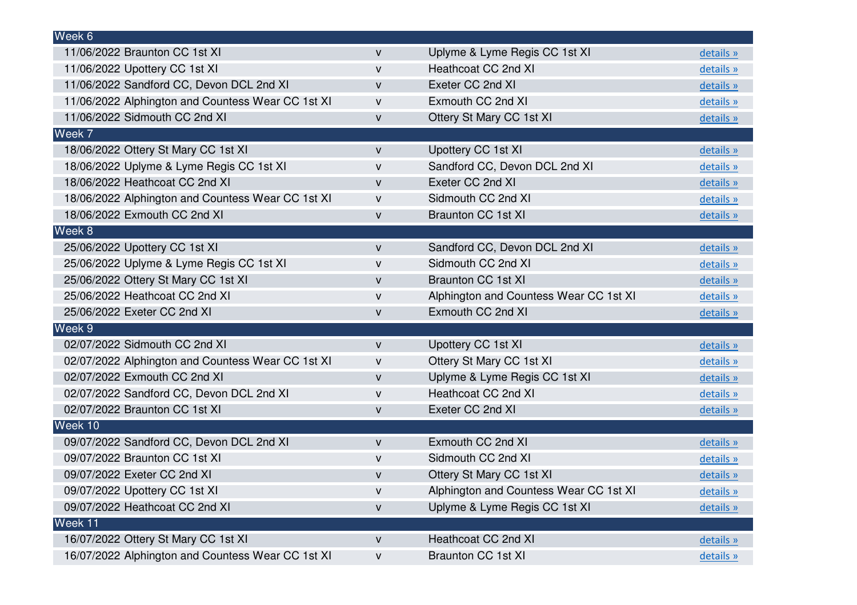| Week 6                                            |              |                                        |           |
|---------------------------------------------------|--------------|----------------------------------------|-----------|
| 11/06/2022 Braunton CC 1st XI                     | $\mathsf{V}$ | Uplyme & Lyme Regis CC 1st XI          | details » |
| 11/06/2022 Upottery CC 1st XI                     | $\mathsf{V}$ | Heathcoat CC 2nd XI                    | details » |
| 11/06/2022 Sandford CC, Devon DCL 2nd XI          | V            | Exeter CC 2nd XI                       | details » |
| 11/06/2022 Alphington and Countess Wear CC 1st XI | v            | Exmouth CC 2nd XI                      | details » |
| 11/06/2022 Sidmouth CC 2nd XI                     | v            | Ottery St Mary CC 1st XI               | details » |
| Week 7                                            |              |                                        |           |
| 18/06/2022 Ottery St Mary CC 1st XI               | V            | Upottery CC 1st XI                     | details » |
| 18/06/2022 Uplyme & Lyme Regis CC 1st XI          | $\mathsf{V}$ | Sandford CC, Devon DCL 2nd XI          | details » |
| 18/06/2022 Heathcoat CC 2nd XI                    | V            | Exeter CC 2nd XI                       | details » |
| 18/06/2022 Alphington and Countess Wear CC 1st XI | v            | Sidmouth CC 2nd XI                     | details » |
| 18/06/2022 Exmouth CC 2nd XI                      | v            | <b>Braunton CC 1st XI</b>              | details » |
| Week 8                                            |              |                                        |           |
| 25/06/2022 Upottery CC 1st XI                     | V            | Sandford CC, Devon DCL 2nd XI          | details » |
| 25/06/2022 Uplyme & Lyme Regis CC 1st XI          | $\mathsf{V}$ | Sidmouth CC 2nd XI                     | details » |
| 25/06/2022 Ottery St Mary CC 1st XI               | V            | <b>Braunton CC 1st XI</b>              | details » |
| 25/06/2022 Heathcoat CC 2nd XI                    | v            | Alphington and Countess Wear CC 1st XI | details » |
| 25/06/2022 Exeter CC 2nd XI                       | $\mathsf{V}$ | Exmouth CC 2nd XI                      | details » |
| Week 9                                            |              |                                        |           |
| 02/07/2022 Sidmouth CC 2nd XI                     | v            | Upottery CC 1st XI                     | details » |
| 02/07/2022 Alphington and Countess Wear CC 1st XI | $\mathsf{V}$ | Ottery St Mary CC 1st XI               | details » |
| 02/07/2022 Exmouth CC 2nd XI                      | V            | Uplyme & Lyme Regis CC 1st XI          | details » |
| 02/07/2022 Sandford CC, Devon DCL 2nd XI          | v            | Heathcoat CC 2nd XI                    | details » |
| 02/07/2022 Braunton CC 1st XI                     | $\mathsf{V}$ | Exeter CC 2nd XI                       | details » |
| Week 10                                           |              |                                        |           |
| 09/07/2022 Sandford CC, Devon DCL 2nd XI          | v            | Exmouth CC 2nd XI                      | details » |
| 09/07/2022 Braunton CC 1st XI                     | $\mathsf{V}$ | Sidmouth CC 2nd XI                     | details » |
| 09/07/2022 Exeter CC 2nd XI                       | v            | Ottery St Mary CC 1st XI               | details » |
| 09/07/2022 Upottery CC 1st XI                     | $\mathsf{V}$ | Alphington and Countess Wear CC 1st XI | details » |
| 09/07/2022 Heathcoat CC 2nd XI                    | V            | Uplyme & Lyme Regis CC 1st XI          | details » |
| Week 11                                           |              |                                        |           |
| 16/07/2022 Ottery St Mary CC 1st XI               | v            | Heathcoat CC 2nd XI                    | details » |
| 16/07/2022 Alphington and Countess Wear CC 1st XI | v            | <b>Braunton CC 1st XI</b>              | details » |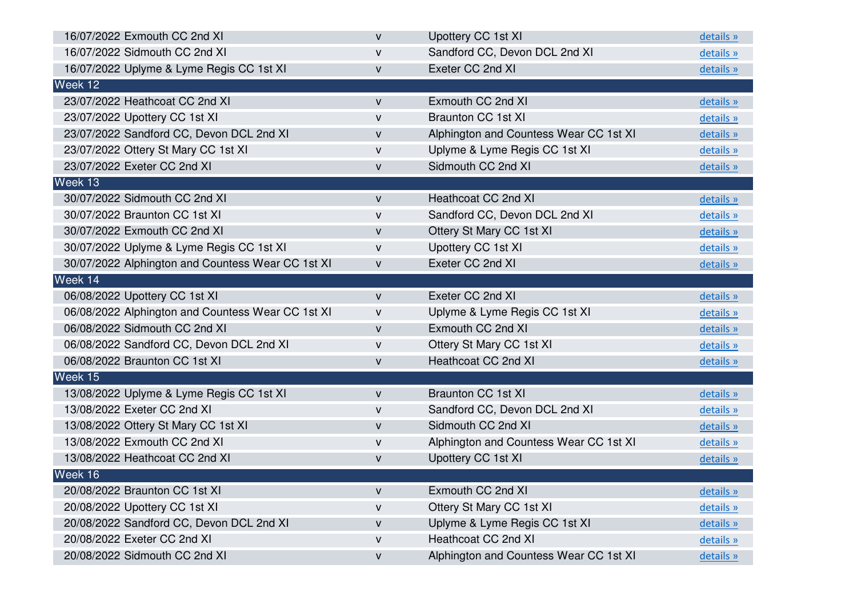| 16/07/2022 Exmouth CC 2nd XI                      | $\mathsf{V}$ | Upottery CC 1st XI                     | details » |
|---------------------------------------------------|--------------|----------------------------------------|-----------|
| 16/07/2022 Sidmouth CC 2nd XI                     | $\mathsf{V}$ | Sandford CC, Devon DCL 2nd XI          | details » |
| 16/07/2022 Uplyme & Lyme Regis CC 1st XI          | $\mathsf{V}$ | Exeter CC 2nd XI                       | details » |
| Week 12                                           |              |                                        |           |
| 23/07/2022 Heathcoat CC 2nd XI                    | V            | Exmouth CC 2nd XI                      | details » |
| 23/07/2022 Upottery CC 1st XI                     | $\mathsf{V}$ | <b>Braunton CC 1st XI</b>              | details » |
| 23/07/2022 Sandford CC, Devon DCL 2nd XI          | V            | Alphington and Countess Wear CC 1st XI | details » |
| 23/07/2022 Ottery St Mary CC 1st XI               | v            | Uplyme & Lyme Regis CC 1st XI          | details » |
| 23/07/2022 Exeter CC 2nd XI                       | $\mathsf{V}$ | Sidmouth CC 2nd XI                     | details » |
| Week 13                                           |              |                                        |           |
| 30/07/2022 Sidmouth CC 2nd XI                     | V            | <b>Heathcoat CC 2nd XI</b>             | details » |
| 30/07/2022 Braunton CC 1st XI                     | $\mathsf{V}$ | Sandford CC, Devon DCL 2nd XI          | details » |
| 30/07/2022 Exmouth CC 2nd XI                      | V            | Ottery St Mary CC 1st XI               | details » |
| 30/07/2022 Uplyme & Lyme Regis CC 1st XI          | v            | Upottery CC 1st XI                     | details » |
| 30/07/2022 Alphington and Countess Wear CC 1st XI | $\mathsf{V}$ | Exeter CC 2nd XI                       | details » |
| Week 14                                           |              |                                        |           |
| 06/08/2022 Upottery CC 1st XI                     | $\mathsf{V}$ | Exeter CC 2nd XI                       | details » |
| 06/08/2022 Alphington and Countess Wear CC 1st XI | V            | Uplyme & Lyme Regis CC 1st XI          | details » |
| 06/08/2022 Sidmouth CC 2nd XI                     | V            | Exmouth CC 2nd XI                      | details » |
| 06/08/2022 Sandford CC, Devon DCL 2nd XI          | v            | Ottery St Mary CC 1st XI               | details » |
| 06/08/2022 Braunton CC 1st XI                     | V            | <b>Heathcoat CC 2nd XI</b>             | details » |
| Week 15                                           |              |                                        |           |
| 13/08/2022 Uplyme & Lyme Regis CC 1st XI          | V            | <b>Braunton CC 1st XI</b>              | details » |
| 13/08/2022 Exeter CC 2nd XI                       | V            | Sandford CC, Devon DCL 2nd XI          | details » |
| 13/08/2022 Ottery St Mary CC 1st XI               | V            | Sidmouth CC 2nd XI                     | details » |
| 13/08/2022 Exmouth CC 2nd XI                      | v            | Alphington and Countess Wear CC 1st XI | details » |
| 13/08/2022 Heathcoat CC 2nd XI                    | v            | Upottery CC 1st XI                     | details » |
| Week 16                                           |              |                                        |           |
| 20/08/2022 Braunton CC 1st XI                     | $\mathsf{V}$ | Exmouth CC 2nd XI                      | details » |
| 20/08/2022 Upottery CC 1st XI                     | v            | Ottery St Mary CC 1st XI               | details » |
| 20/08/2022 Sandford CC, Devon DCL 2nd XI          | V            | Uplyme & Lyme Regis CC 1st XI          | details » |
| 20/08/2022 Exeter CC 2nd XI                       | V            | Heathcoat CC 2nd XI                    | details » |
| 20/08/2022 Sidmouth CC 2nd XI                     | v            | Alphington and Countess Wear CC 1st XI | details » |